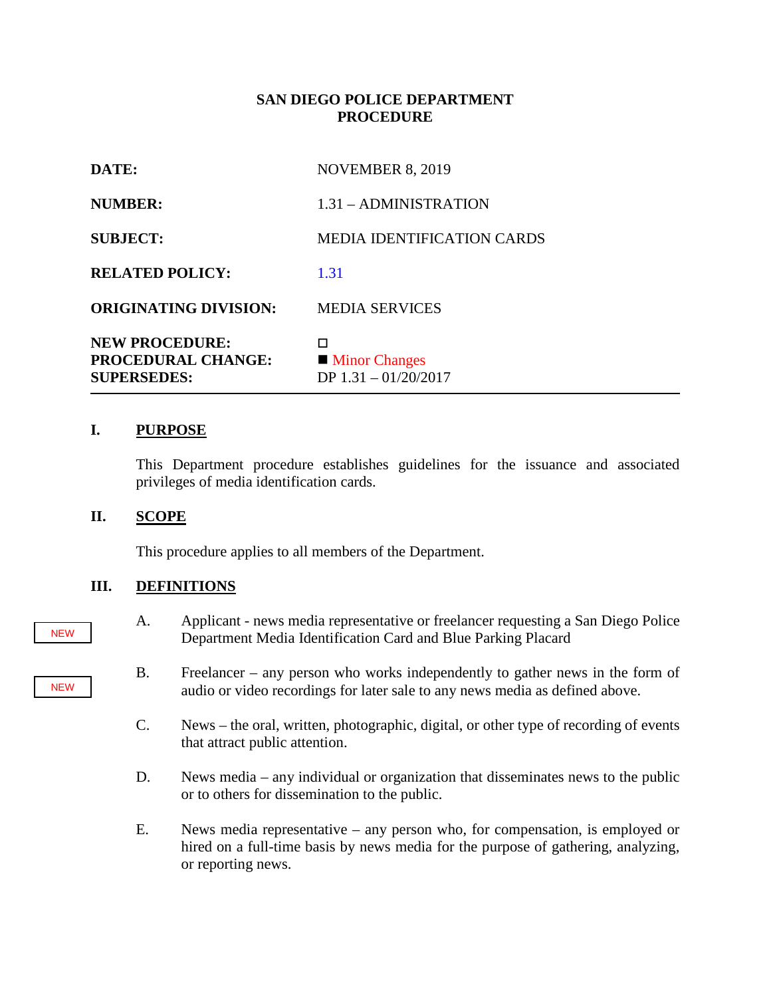### **SAN DIEGO POLICE DEPARTMENT PROCEDURE**

| DATE:                                                                    | <b>NOVEMBER 8, 2019</b>                             |
|--------------------------------------------------------------------------|-----------------------------------------------------|
| <b>NUMBER:</b>                                                           | $1.31 - ADMINISTRATION$                             |
| <b>SUBJECT:</b>                                                          | <b>MEDIA IDENTIFICATION CARDS</b>                   |
| <b>RELATED POLICY:</b>                                                   | 1.31                                                |
| <b>ORIGINATING DIVISION:</b>                                             | <b>MEDIA SERVICES</b>                               |
| <b>NEW PROCEDURE:</b><br><b>PROCEDURAL CHANGE:</b><br><b>SUPERSEDES:</b> | п<br><b>Minor Changes</b><br>DP $1.31 - 01/20/2017$ |

#### **I. PURPOSE**

This Department procedure establishes guidelines for the issuance and associated privileges of media identification cards.

#### **II. SCOPE**

This procedure applies to all members of the Department.

#### **III. DEFINITIONS**

- A. Applicant news media representative or freelancer requesting a San Diego Police Department Media Identification Card and Blue Parking Placard
- B. Freelancer any person who works independently to gather news in the form of audio or video recordings for later sale to any news media as defined above.
- C. News the oral, written, photographic, digital, or other type of recording of events that attract public attention.
- D. News media any individual or organization that disseminates news to the public or to others for dissemination to the public.
- E. News media representative any person who, for compensation, is employed or hired on a full-time basis by news media for the purpose of gathering, analyzing, or reporting news.

#### NEW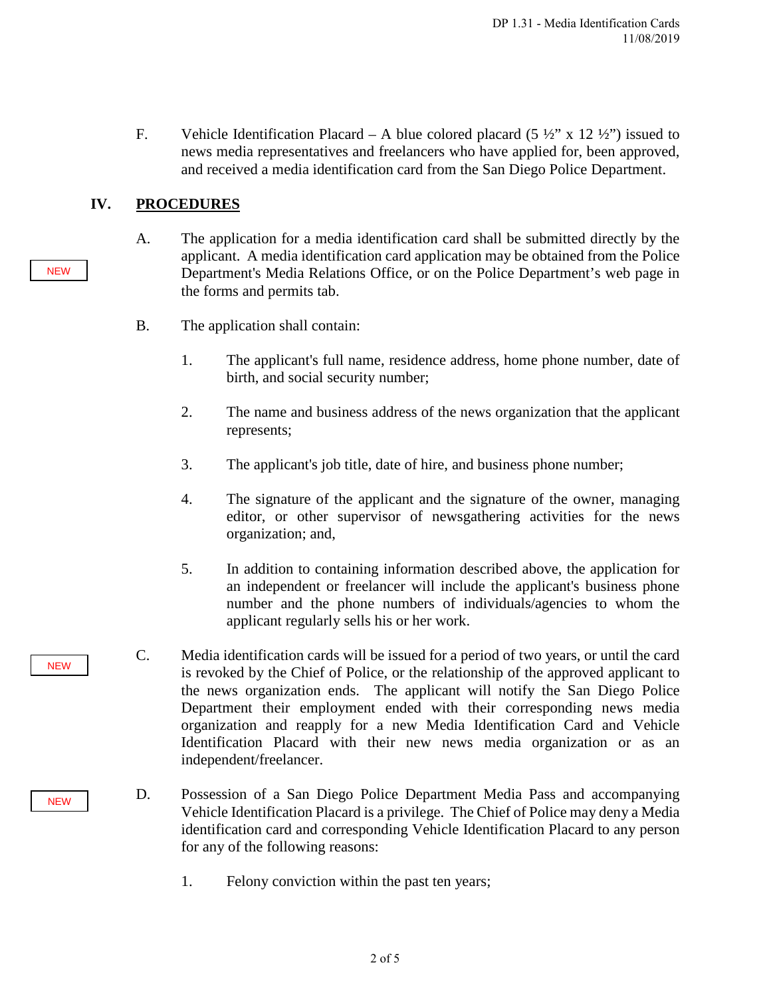F. Vehicle Identification Placard – A blue colored placard  $(5 \frac{1}{2} \times 12 \frac{1}{2})$  issued to news media representatives and freelancers who have applied for, been approved, and received a media identification card from the San Diego Police Department.

## **IV. PROCEDURES**

- A. The application for a media identification card shall be submitted directly by the applicant. A media identification card application may be obtained from the Police Department's Media Relations Office, or on the Police Department's web page in the forms and permits tab.
- B. The application shall contain:
	- 1. The applicant's full name, residence address, home phone number, date of birth, and social security number;
	- 2. The name and business address of the news organization that the applicant represents;
	- 3. The applicant's job title, date of hire, and business phone number;
	- 4. The signature of the applicant and the signature of the owner, managing editor, or other supervisor of newsgathering activities for the news organization; and,
	- 5. In addition to containing information described above, the application for an independent or freelancer will include the applicant's business phone number and the phone numbers of individuals/agencies to whom the applicant regularly sells his or her work.
- C. Media identification cards will be issued for a period of two years, or until the card is revoked by the Chief of Police, or the relationship of the approved applicant to the news organization ends. The applicant will notify the San Diego Police Department their employment ended with their corresponding news media organization and reapply for a new Media Identification Card and Vehicle Identification Placard with their new news media organization or as an independent/freelancer.
- D. Possession of a San Diego Police Department Media Pass and accompanying Vehicle Identification Placard is a privilege. The Chief of Police may deny a Media identification card and corresponding Vehicle Identification Placard to any person for any of the following reasons:
	- 1. Felony conviction within the past ten years;

**NEW** 

**NEW**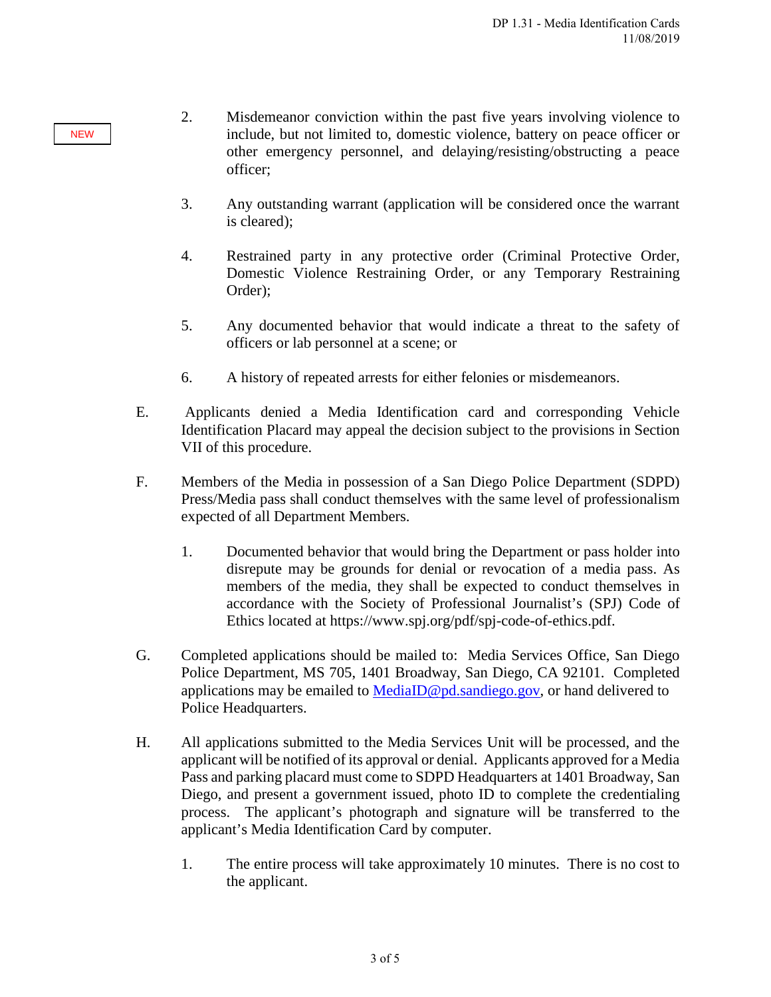- 2. Misdemeanor conviction within the past five years involving violence to include, but not limited to, domestic violence, battery on peace officer or other emergency personnel, and delaying/resisting/obstructing a peace officer;
- 3. Any outstanding warrant (application will be considered once the warrant is cleared);
- 4. Restrained party in any protective order (Criminal Protective Order, Domestic Violence Restraining Order, or any Temporary Restraining Order);
- 5. Any documented behavior that would indicate a threat to the safety of officers or lab personnel at a scene; or
- 6. A history of repeated arrests for either felonies or misdemeanors.
- E. Applicants denied a Media Identification card and corresponding Vehicle Identification Placard may appeal the decision subject to the provisions in Section VII of this procedure.
- F. Members of the Media in possession of a San Diego Police Department (SDPD) Press/Media pass shall conduct themselves with the same level of professionalism expected of all Department Members.
	- 1. Documented behavior that would bring the Department or pass holder into disrepute may be grounds for denial or revocation of a media pass. As members of the media, they shall be expected to conduct themselves in accordance with the Society of Professional Journalist's (SPJ) Code of Ethics located at https://www.spj.org/pdf/spj-code-of-ethics.pdf.
- G. Completed applications should be mailed to: Media Services Office, San Diego Police Department, MS 705, 1401 Broadway, San Diego, CA 92101. Completed applications may be emailed to MediaID@pd.sandiego.gov, or hand delivered to Police Headquarters.
- H. All applications submitted to the Media Services Unit will be processed, and the applicant will be notified of its approval or denial. Applicants approved for a Media Pass and parking placard must come to SDPD Headquarters at 1401 Broadway, San Diego, and present a government issued, photo ID to complete the credentialing process. The applicant's photograph and signature will be transferred to the applicant's Media Identification Card by computer.
	- 1. The entire process will take approximately 10 minutes. There is no cost to the applicant.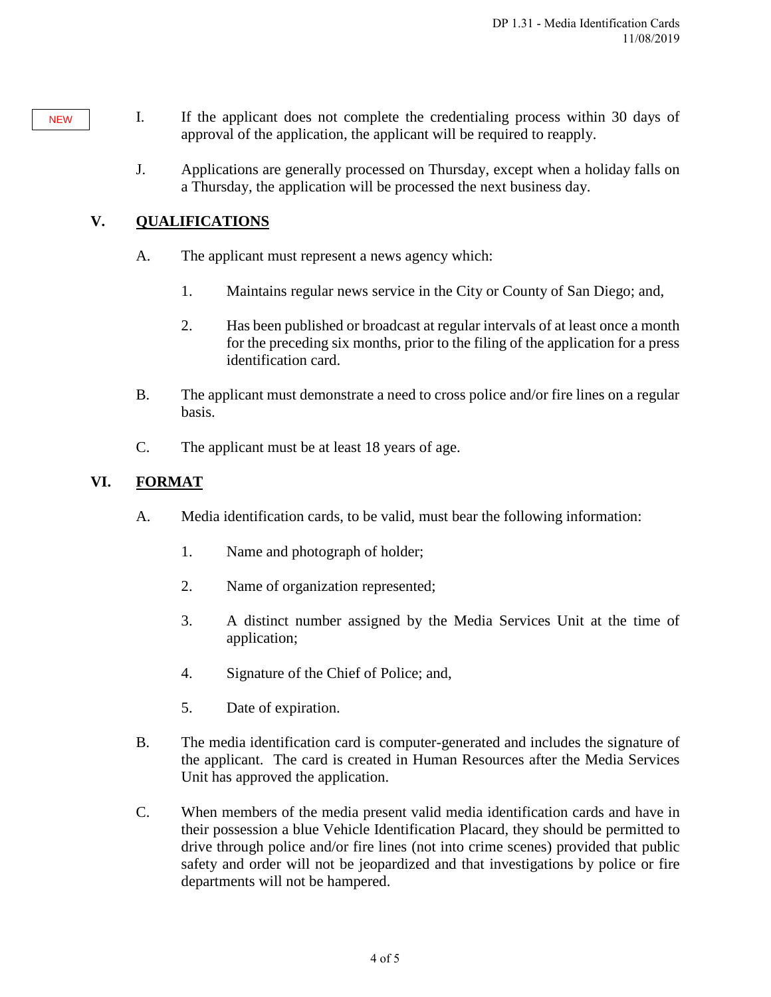- I. If the applicant does not complete the credentialing process within 30 days of approval of the application, the applicant will be required to reapply.
	- J. Applications are generally processed on Thursday, except when a holiday falls on a Thursday, the application will be processed the next business day.

# **V. QUALIFICATIONS**

**NEW** 

- A. The applicant must represent a news agency which:
	- 1. Maintains regular news service in the City or County of San Diego; and,
	- 2. Has been published or broadcast at regular intervals of at least once a month for the preceding six months, prior to the filing of the application for a press identification card.
- B. The applicant must demonstrate a need to cross police and/or fire lines on a regular basis.
- C. The applicant must be at least 18 years of age.

## **VI. FORMAT**

- A. Media identification cards, to be valid, must bear the following information:
	- 1. Name and photograph of holder;
	- 2. Name of organization represented;
	- 3. A distinct number assigned by the Media Services Unit at the time of application;
	- 4. Signature of the Chief of Police; and,
	- 5. Date of expiration.
- B. The media identification card is computer-generated and includes the signature of the applicant. The card is created in Human Resources after the Media Services Unit has approved the application.
- C. When members of the media present valid media identification cards and have in their possession a blue Vehicle Identification Placard, they should be permitted to drive through police and/or fire lines (not into crime scenes) provided that public safety and order will not be jeopardized and that investigations by police or fire departments will not be hampered.